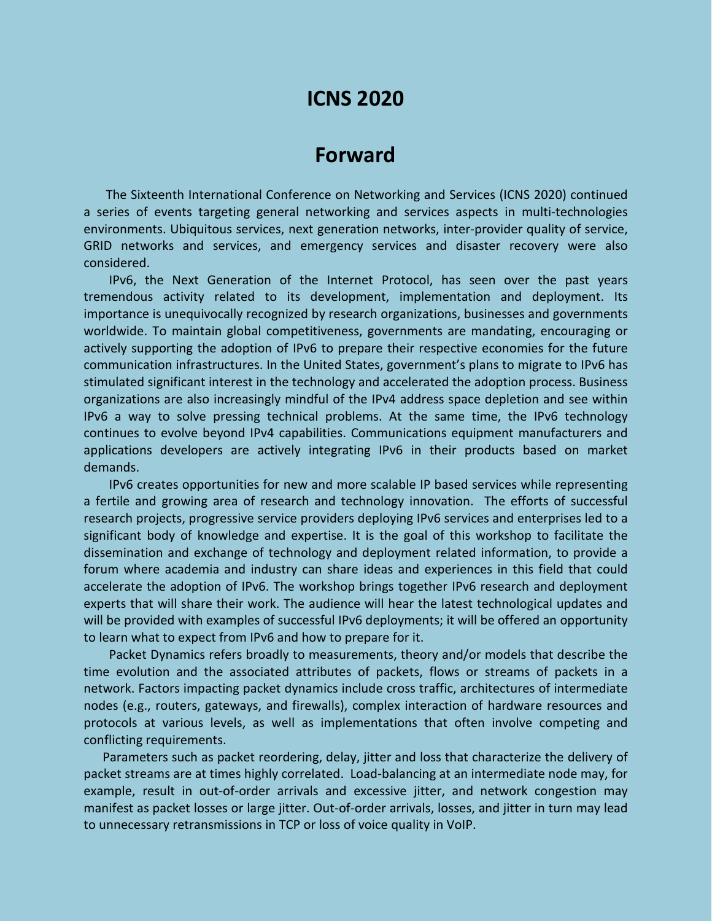# **ICNS 2020**

# **Forward**

The Sixteenth International Conference on Networking and Services (ICNS 2020) continued a series of events targeting general networking and services aspects in multi-technologies environments. Ubiquitous services, next generation networks, inter-provider quality of service, GRID networks and services, and emergency services and disaster recovery were also considered.

IPv6, the Next Generation of the Internet Protocol, has seen over the past years tremendous activity related to its development, implementation and deployment. Its importance is unequivocally recognized by research organizations, businesses and governments worldwide. To maintain global competitiveness, governments are mandating, encouraging or actively supporting the adoption of IPv6 to prepare their respective economies for the future communication infrastructures. In the United States, government's plans to migrate to IPv6 has stimulated significant interest in the technology and accelerated the adoption process. Business organizations are also increasingly mindful of the IPv4 address space depletion and see within IPv6 a way to solve pressing technical problems. At the same time, the IPv6 technology continues to evolve beyond IPv4 capabilities. Communications equipment manufacturers and applications developers are actively integrating IPv6 in their products based on market demands.

IPv6 creates opportunities for new and more scalable IP based services while representing a fertile and growing area of research and technology innovation. The efforts of successful research projects, progressive service providers deploying IPv6 services and enterprises led to a significant body of knowledge and expertise. It is the goal of this workshop to facilitate the dissemination and exchange of technology and deployment related information, to provide a forum where academia and industry can share ideas and experiences in this field that could accelerate the adoption of IPv6. The workshop brings together IPv6 research and deployment experts that will share their work. The audience will hear the latest technological updates and will be provided with examples of successful IPv6 deployments; it will be offered an opportunity to learn what to expect from IPv6 and how to prepare for it.

Packet Dynamics refers broadly to measurements, theory and/or models that describe the time evolution and the associated attributes of packets, flows or streams of packets in a network. Factors impacting packet dynamics include cross traffic, architectures of intermediate nodes (e.g., routers, gateways, and firewalls), complex interaction of hardware resources and protocols at various levels, as well as implementations that often involve competing and conflicting requirements.

Parameters such as packet reordering, delay, jitter and loss that characterize the delivery of packet streams are at times highly correlated. Load-balancing at an intermediate node may, for example, result in out-of-order arrivals and excessive jitter, and network congestion may manifest as packet losses or large jitter. Out-of-order arrivals, losses, and jitter in turn may lead to unnecessary retransmissions in TCP or loss of voice quality in VoIP.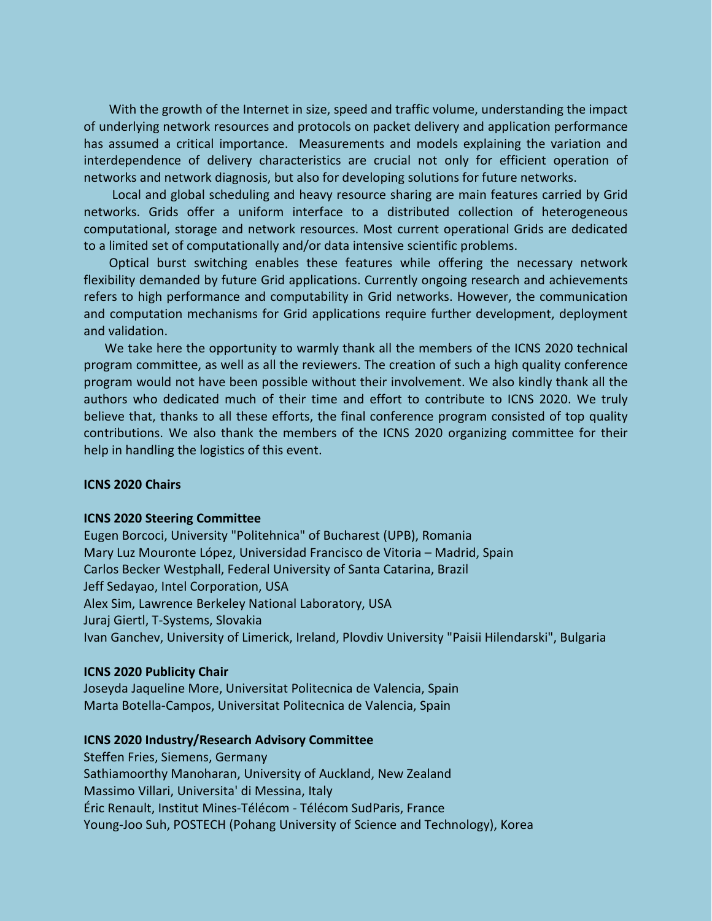With the growth of the Internet in size, speed and traffic volume, understanding the impact of underlying network resources and protocols on packet delivery and application performance has assumed a critical importance. Measurements and models explaining the variation and interdependence of delivery characteristics are crucial not only for efficient operation of networks and network diagnosis, but also for developing solutions for future networks.

Local and global scheduling and heavy resource sharing are main features carried by Grid networks. Grids offer a uniform interface to a distributed collection of heterogeneous computational, storage and network resources. Most current operational Grids are dedicated to a limited set of computationally and/or data intensive scientific problems.

Optical burst switching enables these features while offering the necessary network flexibility demanded by future Grid applications. Currently ongoing research and achievements refers to high performance and computability in Grid networks. However, the communication and computation mechanisms for Grid applications require further development, deployment and validation.

We take here the opportunity to warmly thank all the members of the ICNS 2020 technical program committee, as well as all the reviewers. The creation of such a high quality conference program would not have been possible without their involvement. We also kindly thank all the authors who dedicated much of their time and effort to contribute to ICNS 2020. We truly believe that, thanks to all these efforts, the final conference program consisted of top quality contributions. We also thank the members of the ICNS 2020 organizing committee for their help in handling the logistics of this event.

## **ICNS 2020 Chairs**

## **ICNS 2020 Steering Committee**

Eugen Borcoci, University "Politehnica" of Bucharest (UPB), Romania Mary Luz Mouronte López, Universidad Francisco de Vitoria – Madrid, Spain Carlos Becker Westphall, Federal University of Santa Catarina, Brazil Jeff Sedayao, Intel Corporation, USA Alex Sim, Lawrence Berkeley National Laboratory, USA Juraj Giertl, T-Systems, Slovakia Ivan Ganchev, University of Limerick, Ireland, Plovdiv University "Paisii Hilendarski", Bulgaria

## **ICNS 2020 Publicity Chair**

Joseyda Jaqueline More, Universitat Politecnica de Valencia, Spain Marta Botella-Campos, Universitat Politecnica de Valencia, Spain

## **ICNS 2020 Industry/Research Advisory Committee**

Steffen Fries, Siemens, Germany Sathiamoorthy Manoharan, University of Auckland, New Zealand Massimo Villari, Universita' di Messina, Italy Éric Renault, Institut Mines-Télécom - Télécom SudParis, France Young-Joo Suh, POSTECH (Pohang University of Science and Technology), Korea